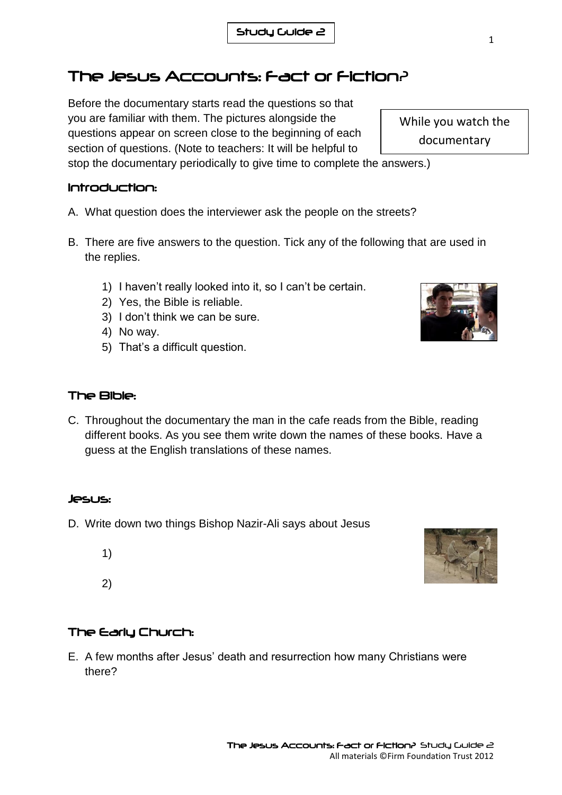# The Jesus Accounts: Fact or Fiction?

Before the documentary starts read the questions so that you are familiar with them. The pictures alongside the questions appear on screen close to the beginning of each section of questions. (Note to teachers: It will be helpful to

stop the documentary periodically to give time to complete the answers.)

## Introduction:

- A. What question does the interviewer ask the people on the streets?
- B. There are five answers to the question. Tick any of the following that are used in the replies.
	- 1) I haven't really looked into it, so I can't be certain.
	- 2) Yes, the Bible is reliable.
	- 3) I don't think we can be sure.
	- 4) No way.
	- 5) That's a difficult question.

## The Bible:

C. Throughout the documentary the man in the cafe reads from the Bible, reading different books. As you see them write down the names of these books. Have a guess at the English translations of these names.

## Jesus:

- D. Write down two things Bishop Nazir-Ali says about Jesus
	- 1)

2)

### The Early Church:

E. A few months after Jesus' death and resurrection how many Christians were there?





While you watch the documentary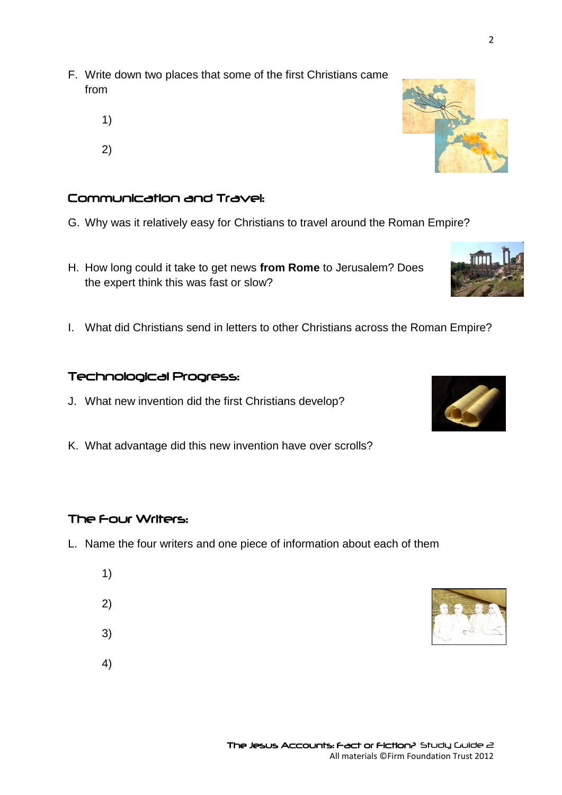2

- F. Write down two places that some of the first Christians came from
	- 1)
	- 2)

### Communication and Travel:

- G. Why was it relatively easy for Christians to travel around the Roman Empire?
- H. How long could it take to get news **from Rome** to Jerusalem? Does the expert think this was fast or slow?
- I. What did Christians send in letters to other Christians across the Roman Empire?

#### Technological Progress:

- J. What new invention did the first Christians develop?
- K. What advantage did this new invention have over scrolls?

### The Four Writers:

- L. Name the four writers and one piece of information about each of them
	- 1)
	- 2)
	- 3)
	- 4)







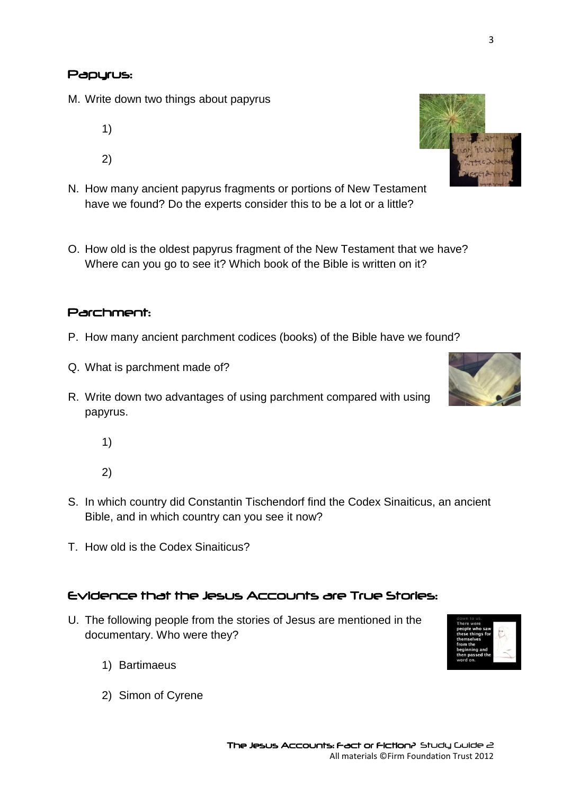#### Papyrus:

- M. Write down two things about papyrus
	- 1) 2)
- N. How many ancient papyrus fragments or portions of New Testament have we found? Do the experts consider this to be a lot or a little?
- O. How old is the oldest papyrus fragment of the New Testament that we have? Where can you go to see it? Which book of the Bible is written on it?

#### Parchment:

- P. How many ancient parchment codices (books) of the Bible have we found?
- Q. What is parchment made of?
- R. Write down two advantages of using parchment compared with using papyrus.
	- 1)

2)

- S. In which country did Constantin Tischendorf find the Codex Sinaiticus, an ancient Bible, and in which country can you see it now?
- T. How old is the Codex Sinaiticus?

#### Evidence that the Jesus Accounts are True Stories:

- U. The following people from the stories of Jesus are mentioned in the documentary. Who were they?
	- 1) Bartimaeus
	- 2) Simon of Cyrene